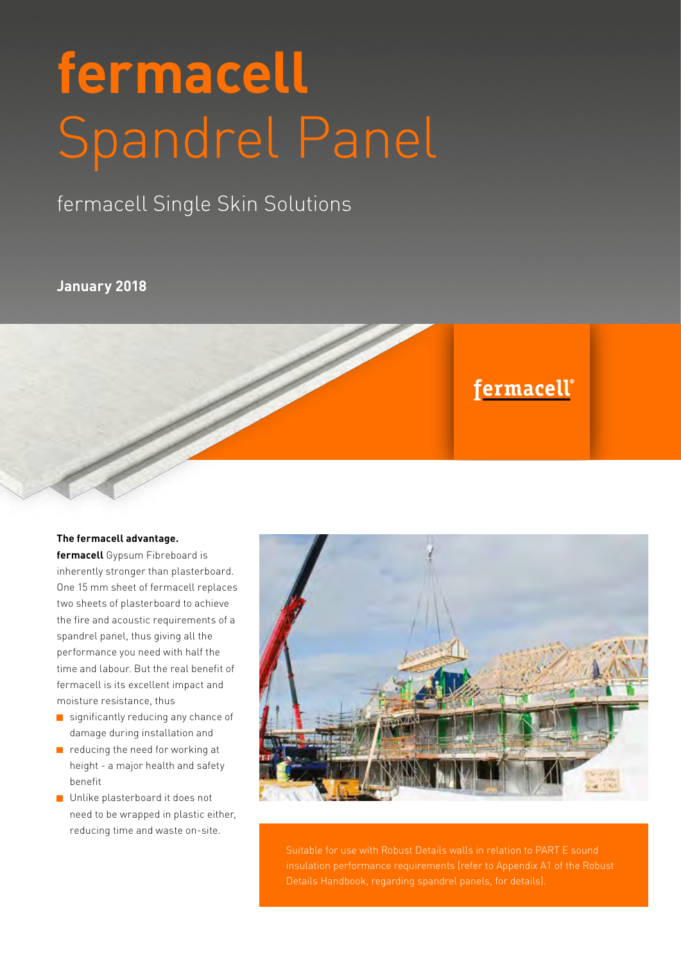# **fermacell** Spandrel Panel

## fermacell Single Skin Solutions

#### **January 2018**

# fermacell®

#### **The fermacell advantage.**

**fermacell** Gypsum Fibreboard is inherently stronger than plasterboard. One 15 mm sheet of fermacell replaces two sheets of plasterboard to achieve the fire and acoustic requirements of a spandrel panel, thus giving all the performance you need with half the time and labour. But the real benefit of fermacell is its excellent impact and moisture resistance, thus

- $\blacksquare$  significantly reducing any chance of damage during installation and
- $\blacksquare$  reducing the need for working at height - a major health and safety benefit
- **Unlike plasterboard it does not** need to be wrapped in plastic either, reducing time and waste on-site.



 Suitable for use with Robust Details walls in relation to PART E sound insulation performance requirements (refer to Appendix A1 of the Robust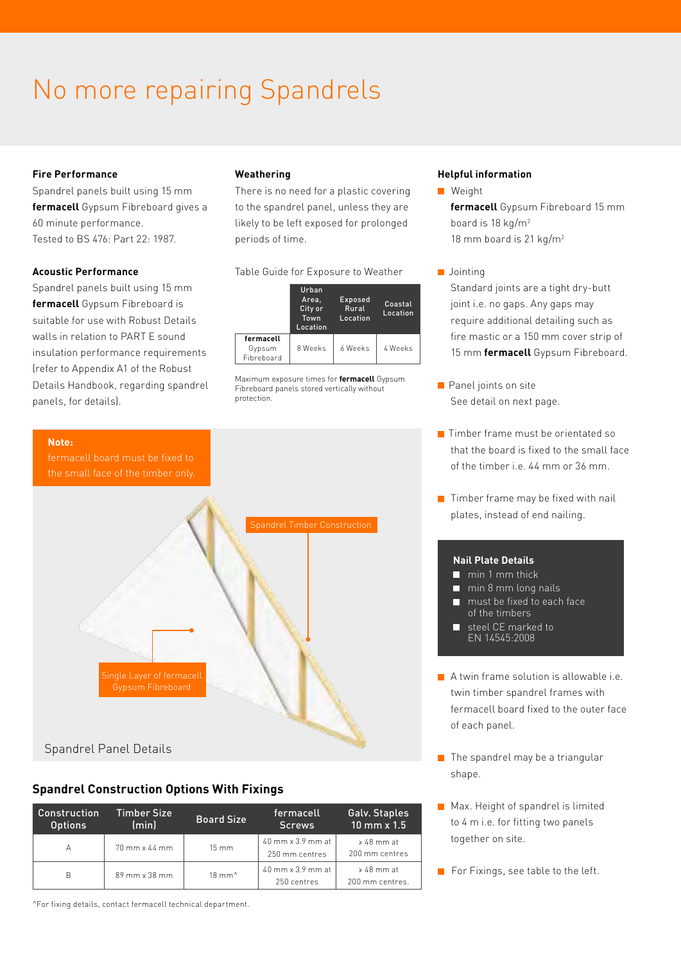# No more repairing Spandrels

#### **Fire Performance**

Spandrel panels built using 15 mm **fermacell** Gypsum Fibreboard gives a 60 minute performance. Tested to BS 476: Part 22: 1987.

#### **Acoustic Performance**

**Note:**

Spandrel panels built using 15 mm **fermacell** Gypsum Fibreboard is suitable for use with Robust Details walls in relation to PART E sound insulation performance requirements (refer to Appendix A1 of the Robust Details Handbook, regarding spandrel panels, for details).

#### **Weathering**

There is no need for a plastic covering to the spandrel panel, unless they are likely to be left exposed for prolonged periods of time.

#### Table Guide for Exposure to Weather

|                                   | Urban<br>Area.<br>City or<br>Town<br>Location | Exposed<br>Rural<br>Location | Coastal<br>Location |
|-----------------------------------|-----------------------------------------------|------------------------------|---------------------|
| fermacell<br>Gypsum<br>Fibreboard | 8 Weeks                                       | 6 Weeks                      | 4 Weeks             |

Maximum exposure times for **fermacell** Gypsum Fibreboard panels stored vertically without protection.

#### **Helpful information**

- Weight **fermacell** Gypsum Fibreboard 15 mm board is 18 kg/m2 18 mm board is 21 kg/m<sup>2</sup>
- Jointing

Standard joints are a tight dry-butt joint i.e. no gaps. Any gaps may require additional detailing such as fire mastic or a 150 mm cover strip of 15 mm **fermacell** Gypsum Fibreboard.

- **Panel joints on site** See detail on next page.
- **T** Timber frame must be orientated so that the board is fixed to the small face of the timber  $i.e. 44$  mm or  $36$  mm.
- $\blacksquare$  Timber frame may be fixed with nail plates, instead of end nailing.

#### **Nail Plate Details**

- $\blacksquare$  min 1 mm thick
- $\blacksquare$  min 8 mm long nails
- **n** must be fixed to each face of the timbers
- steel CE marked to EN 14545:2008
- A twin frame solution is allowable i.e. twin timber spandrel frames with fermacell board fixed to the outer face of each panel.
- $\blacksquare$  The spandrel may be a triangular shape.
- Max. Height of spandrel is limited to 4 m i.e. for fitting two panels together on site.

**For Fixings, see table to the left.** 



#### **Spandrel Construction Options With Fixings**

| Construction<br><b>Options</b> | Timber Size<br>(min) | <b>Board Size</b>        | fermacell<br><b>Screws</b>                                 | Galv. Staples<br>$10$ mm $\times 1.5$   |
|--------------------------------|----------------------|--------------------------|------------------------------------------------------------|-----------------------------------------|
| А                              | 70 mm x 44 mm        | $15 \, \text{mm}$        | $40 \text{ mm} \times 3.9 \text{ mm}$ at<br>250 mm centres | $\geqslant 48$ mm at<br>200 mm centres  |
| B                              | 89 mm x 38 mm        | $18 \text{ mm}^{\wedge}$ | $40 \text{ mm} \times 3.9 \text{ mm}$ at<br>250 centres    | $\geqslant 48$ mm at<br>200 mm centres. |

^For fixing details, contact fermacell technical department.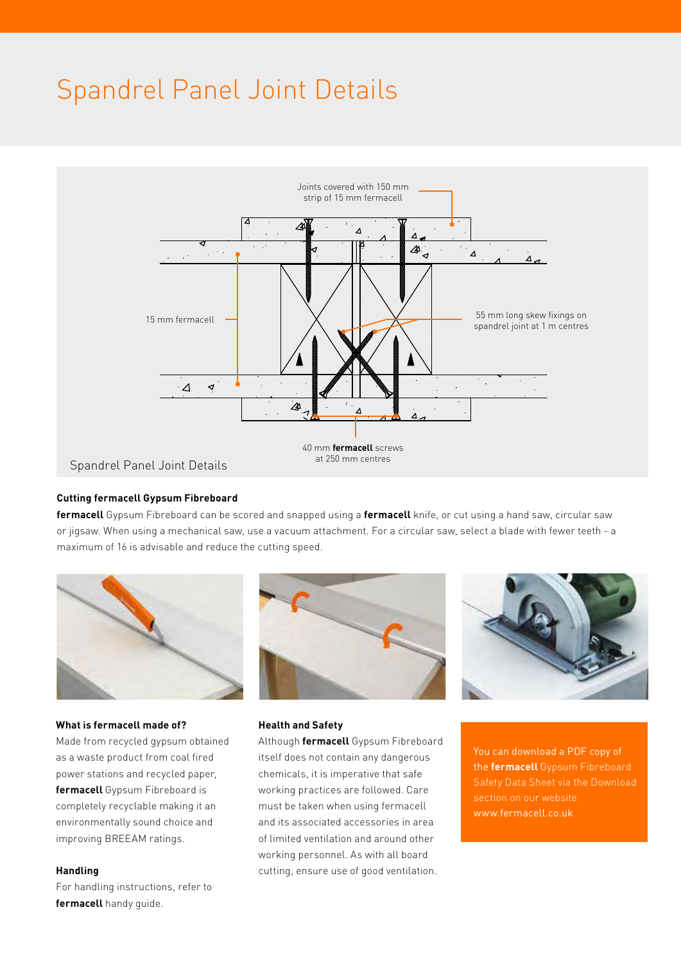# Spandrel Panel Joint Details



#### **Cutting fermacell Gypsum Fibreboard**

**fermacell** Gypsum Fibreboard can be scored and snapped using a **fermacell** knife, or cut using a hand saw, circular saw or jigsaw. When using a mechanical saw, use a vacuum attachment. For a circular saw, select a blade with fewer teeth - a maximum of 16 is advisable and reduce the cutting speed.



#### **What is fermacell made of?**

Made from recycled gypsum obtained as a waste product from coal fired power stations and recycled paper, **fermacell** Gypsum Fibreboard is completely recyclable making it an environmentally sound choice and improving BREEAM ratings.

#### **Handling**

For handling instructions, refer to **fermacell** handy guide.





#### **Health and Safety**

Although **fermacell** Gypsum Fibreboard itself does not contain any dangerous chemicals, it is imperative that safe working practices are followed. Care must be taken when using fermacell and its associated accessories in area of limited ventilation and around other working personnel. As with all board cutting, ensure use of good ventilation.

You can download a PDF copy of the **fermacell** Gypsum Fibreboard Safety Data Sheet via the Download section on our website www.fermacell.co.uk